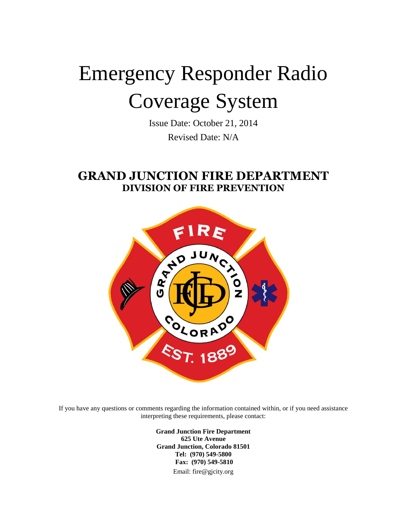# Emergency Responder Radio Coverage System

Issue Date: October 21, 2014 Revised Date: N/A

# **GRAND JUNCTION FIRE DEPARTMENT DIVISION OF FIRE PREVENTION**



If you have any questions or comments regarding the information contained within, or if you need assistance interpreting these requirements, please contact:

> **Grand Junction Fire Department 625 Ute Avenue Grand Junction, Colorado 81501 Tel: (970) 549-5800 Fax: (970) 549-5810** Email: fire@gjcity.org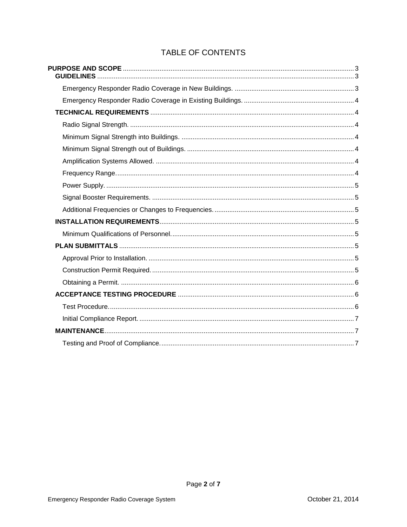# TABLE OF CONTENTS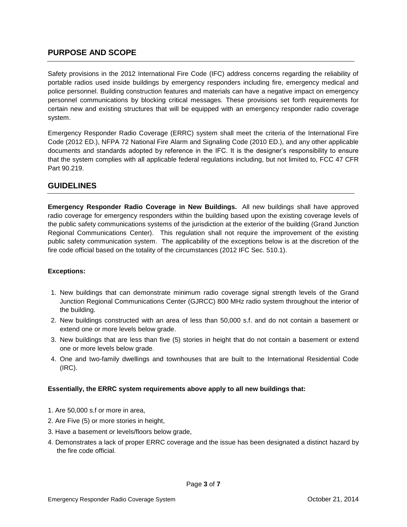## <span id="page-2-0"></span>**PURPOSE AND SCOPE**

Safety provisions in the 2012 International Fire Code (IFC) address concerns regarding the reliability of portable radios used inside buildings by emergency responders including fire, emergency medical and police personnel. Building construction features and materials can have a negative impact on emergency personnel communications by blocking critical messages. These provisions set forth requirements for certain new and existing structures that will be equipped with an emergency responder radio coverage system.

Emergency Responder Radio Coverage (ERRC) system shall meet the criteria of the International Fire Code (2012 ED.), NFPA 72 National Fire Alarm and Signaling Code (2010 ED.), and any other applicable documents and standards adopted by reference in the IFC. It is the designer's responsibility to ensure that the system complies with all applicable federal regulations including, but not limited to, FCC 47 CFR Part 90.219.

## <span id="page-2-1"></span>**GUIDELINES**

<span id="page-2-2"></span>**Emergency Responder Radio Coverage in New Buildings.** All new buildings shall have approved radio coverage for emergency responders within the building based upon the existing coverage levels of the public safety communications systems of the jurisdiction at the exterior of the building (Grand Junction Regional Communications Center). This regulation shall not require the improvement of the existing public safety communication system. The applicability of the exceptions below is at the discretion of the fire code official based on the totality of the circumstances (2012 IFC Sec. 510.1).

#### **Exceptions:**

- 1. New buildings that can demonstrate minimum radio coverage signal strength levels of the Grand Junction Regional Communications Center (GJRCC) 800 MHz radio system throughout the interior of the building.
- 2. New buildings constructed with an area of less than 50,000 s.f. and do not contain a basement or extend one or more levels below grade.
- 3. New buildings that are less than five (5) stories in height that do not contain a basement or extend one or more levels below grade.
- 4. One and two-family dwellings and townhouses that are built to the International Residential Code (IRC).

#### **Essentially, the ERRC system requirements above apply to all new buildings that:**

- 1. Are 50,000 s.f or more in area,
- 2. Are Five (5) or more stories in height,
- 3. Have a basement or levels/floors below grade,
- 4. Demonstrates a lack of proper ERRC coverage and the issue has been designated a distinct hazard by the fire code official.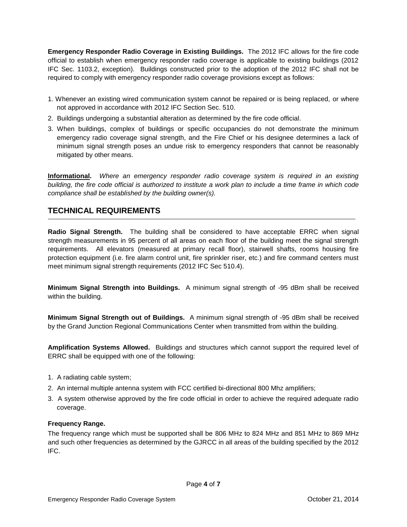<span id="page-3-0"></span>**Emergency Responder Radio Coverage in Existing Buildings.** The 2012 IFC allows for the fire code official to establish when emergency responder radio coverage is applicable to existing buildings (2012 IFC Sec. 1103.2, exception). Buildings constructed prior to the adoption of the 2012 IFC shall not be required to comply with emergency responder radio coverage provisions except as follows:

- 1. Whenever an existing wired communication system cannot be repaired or is being replaced, or where not approved in accordance with 2012 IFC Section Sec. 510.
- 2. Buildings undergoing a substantial alteration as determined by the fire code official.
- 3. When buildings, complex of buildings or specific occupancies do not demonstrate the minimum emergency radio coverage signal strength, and the Fire Chief or his designee determines a lack of minimum signal strength poses an undue risk to emergency responders that cannot be reasonably mitigated by other means.

**Informational.** *Where an emergency responder radio coverage system is required in an existing building, the fire code official is authorized to institute a work plan to include a time frame in which code compliance shall be established by the building owner(s).*

## <span id="page-3-1"></span>**TECHNICAL REQUIREMENTS**

<span id="page-3-2"></span>**Radio Signal Strength.** The building shall be considered to have acceptable ERRC when signal strength measurements in 95 percent of all areas on each floor of the building meet the signal strength requirements. All elevators (measured at primary recall floor), stairwell shafts, rooms housing fire protection equipment (i.e. fire alarm control unit, fire sprinkler riser, etc.) and fire command centers must meet minimum signal strength requirements (2012 IFC Sec 510.4).

<span id="page-3-3"></span>**Minimum Signal Strength into Buildings.** A minimum signal strength of -95 dBm shall be received within the building.

<span id="page-3-4"></span>**Minimum Signal Strength out of Buildings.** A minimum signal strength of -95 dBm shall be received by the Grand Junction Regional Communications Center when transmitted from within the building.

<span id="page-3-5"></span>**Amplification Systems Allowed.** Buildings and structures which cannot support the required level of ERRC shall be equipped with one of the following:

- 1. A radiating cable system;
- 2. An internal multiple antenna system with FCC certified bi-directional 800 Mhz amplifiers;
- 3. A system otherwise approved by the fire code official in order to achieve the required adequate radio coverage.

#### <span id="page-3-6"></span>**Frequency Range.**

The frequency range which must be supported shall be 806 MHz to 824 MHz and 851 MHz to 869 MHz and such other frequencies as determined by the GJRCC in all areas of the building specified by the 2012 IFC.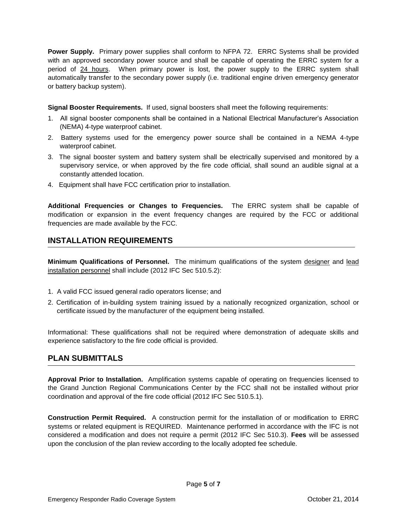<span id="page-4-0"></span>**Power Supply.** Primary power supplies shall conform to NFPA 72. ERRC Systems shall be provided with an approved secondary power source and shall be capable of operating the ERRC system for a period of 24 hours. When primary power is lost, the power supply to the ERRC system shall automatically transfer to the secondary power supply (i.e. traditional engine driven emergency generator or battery backup system).

<span id="page-4-1"></span>**Signal Booster Requirements.** If used, signal boosters shall meet the following requirements:

- 1. All signal booster components shall be contained in a National Electrical Manufacturer's Association (NEMA) 4-type waterproof cabinet.
- 2. Battery systems used for the emergency power source shall be contained in a NEMA 4-type waterproof cabinet.
- 3. The signal booster system and battery system shall be electrically supervised and monitored by a supervisory service, or when approved by the fire code official, shall sound an audible signal at a constantly attended location.
- 4. Equipment shall have FCC certification prior to installation.

<span id="page-4-2"></span>**Additional Frequencies or Changes to Frequencies.** The ERRC system shall be capable of modification or expansion in the event frequency changes are required by the FCC or additional frequencies are made available by the FCC.

# <span id="page-4-3"></span>**INSTALLATION REQUIREMENTS**

<span id="page-4-4"></span>**Minimum Qualifications of Personnel.** The minimum qualifications of the system designer and lead installation personnel shall include (2012 IFC Sec 510.5.2):

- 1. A valid FCC issued general radio operators license; and
- 2. Certification of in-building system training issued by a nationally recognized organization, school or certificate issued by the manufacturer of the equipment being installed.

Informational: These qualifications shall not be required where demonstration of adequate skills and experience satisfactory to the fire code official is provided.

# <span id="page-4-5"></span>**PLAN SUBMITTALS**

<span id="page-4-6"></span>**Approval Prior to Installation.** Amplification systems capable of operating on frequencies licensed to the Grand Junction Regional Communications Center by the FCC shall not be installed without prior coordination and approval of the fire code official (2012 IFC Sec 510.5.1).

<span id="page-4-7"></span>**Construction Permit Required.** A construction permit for the installation of or modification to ERRC systems or related equipment is REQUIRED. Maintenance performed in accordance with the IFC is not considered a modification and does not require a permit (2012 IFC Sec 510.3). **Fees** will be assessed upon the conclusion of the plan review according to the locally adopted fee schedule.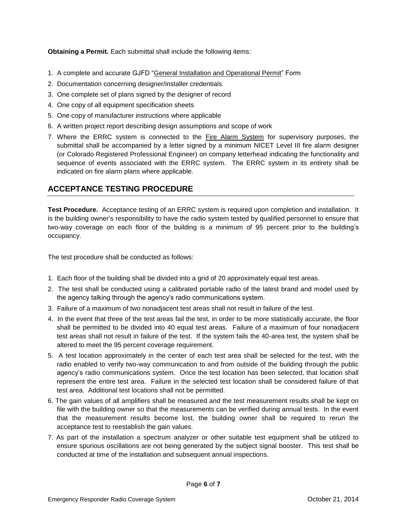<span id="page-5-0"></span>**Obtaining a Permit.** Each submittal shall include the following items:

- 1. A complete and accurate GJFD "General Installation and Operational Permit" Form
- 2. Documentation concerning designer/installer credentials
- 3. One complete set of plans signed by the designer of record
- 4. One copy of all equipment specification sheets
- 5. One copy of manufacturer instructions where applicable
- 6. A written project report describing design assumptions and scope of work
- 7. Where the ERRC system is connected to the Fire Alarm System for supervisory purposes, the submittal shall be accompanied by a letter signed by a minimum NICET Level III fire alarm designer (or Colorado Registered Professional Engineer) on company letterhead indicating the functionality and sequence of events associated with the ERRC system. The ERRC system in its entirety shall be indicated on fire alarm plans where applicable.

# <span id="page-5-1"></span>**ACCEPTANCE TESTING PROCEDURE**

<span id="page-5-2"></span>**Test Procedure.** Acceptance testing of an ERRC system is required upon completion and installation. It is the building owner's responsibility to have the radio system tested by qualified personnel to ensure that two-way coverage on each floor of the building is a minimum of 95 percent prior to the building's occupancy.

The test procedure shall be conducted as follows:

- 1. Each floor of the building shall be divided into a grid of 20 approximately equal test areas.
- 2. The test shall be conducted using a calibrated portable radio of the latest brand and model used by the agency talking through the agency's radio communications system.
- 3. Failure of a maximum of two nonadjacent test areas shall not result in failure of the test.
- 4. In the event that three of the test areas fail the test, in order to be more statistically accurate, the floor shall be permitted to be divided into 40 equal test areas. Failure of a maximum of four nonadjacent test areas shall not result in failure of the test. If the system fails the 40-area test, the system shall be altered to meet the 95 percent coverage requirement.
- 5. A test location approximately in the center of each test area shall be selected for the test, with the radio enabled to verify two-way communication to and from outside of the building through the public agency's radio communications system. Once the test location has been selected, that location shall represent the entire test area. Failure in the selected test location shall be considered failure of that test area. Additional test locations shall not be permitted.
- 6. The gain values of all amplifiers shall be measured and the test measurement results shall be kept on file with the building owner so that the measurements can be verified during annual tests. In the event that the measurement results become lost, the building owner shall be required to rerun the acceptance test to reestablish the gain values.
- 7. As part of the installation a spectrum analyzer or other suitable test equipment shall be utilized to ensure spurious oscillations are not being generated by the subject signal booster. This test shall be conducted at time of the installation and subsequent annual inspections.